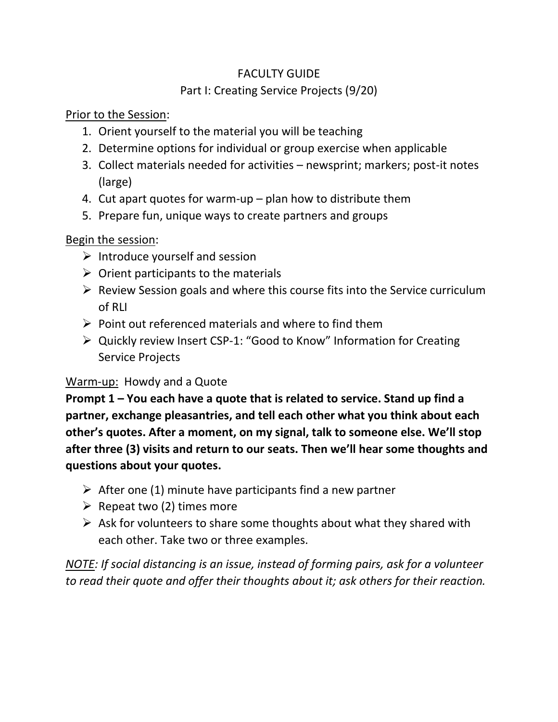# FACULTY GUIDE

## Part I: Creating Service Projects (9/20)

Prior to the Session:

- 1. Orient yourself to the material you will be teaching
- 2. Determine options for individual or group exercise when applicable
- 3. Collect materials needed for activities newsprint; markers; post-it notes (large)
- 4. Cut apart quotes for warm-up plan how to distribute them
- 5. Prepare fun, unique ways to create partners and groups

# Begin the session:

- $\triangleright$  Introduce yourself and session
- $\triangleright$  Orient participants to the materials
- $\triangleright$  Review Session goals and where this course fits into the Service curriculum of RLI
- $\triangleright$  Point out referenced materials and where to find them
- ➢ Quickly review Insert CSP-1: "Good to Know" Information for Creating Service Projects

# Warm-up: Howdy and a Quote

**Prompt 1 – You each have a quote that is related to service. Stand up find a partner, exchange pleasantries, and tell each other what you think about each other's quotes. After a moment, on my signal, talk to someone else. We'll stop after three (3) visits and return to our seats. Then we'll hear some thoughts and questions about your quotes.**

- $\triangleright$  After one (1) minute have participants find a new partner
- $\triangleright$  Repeat two (2) times more
- $\triangleright$  Ask for volunteers to share some thoughts about what they shared with each other. Take two or three examples.

*NOTE: If social distancing is an issue, instead of forming pairs, ask for a volunteer to read their quote and offer their thoughts about it; ask others for their reaction.*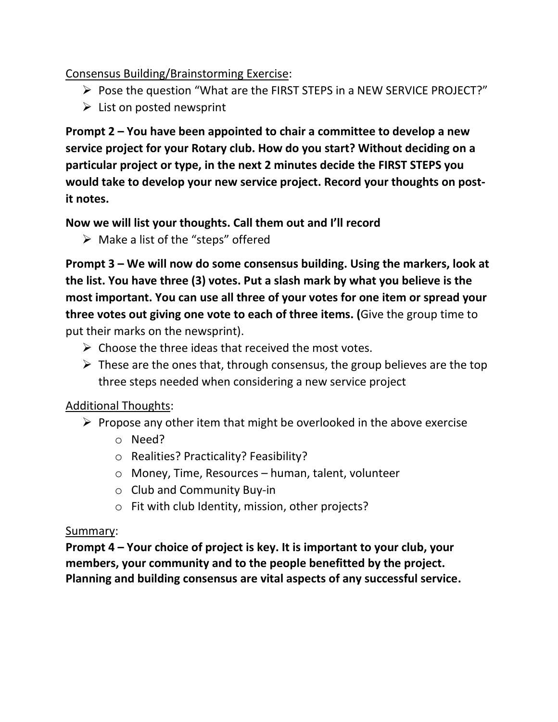# Consensus Building/Brainstorming Exercise:

- ➢ Pose the question "What are the FIRST STEPS in a NEW SERVICE PROJECT?"
- $\triangleright$  List on posted newsprint

**Prompt 2 – You have been appointed to chair a committee to develop a new service project for your Rotary club. How do you start? Without deciding on a particular project or type, in the next 2 minutes decide the FIRST STEPS you would take to develop your new service project. Record your thoughts on postit notes.**

**Now we will list your thoughts. Call them out and I'll record**

 $\triangleright$  Make a list of the "steps" offered

**Prompt 3 – We will now do some consensus building. Using the markers, look at the list. You have three (3) votes. Put a slash mark by what you believe is the most important. You can use all three of your votes for one item or spread your three votes out giving one vote to each of three items. (**Give the group time to put their marks on the newsprint).

- $\triangleright$  Choose the three ideas that received the most votes.
- $\triangleright$  These are the ones that, through consensus, the group believes are the top three steps needed when considering a new service project

#### Additional Thoughts:

- $\triangleright$  Propose any other item that might be overlooked in the above exercise
	- o Need?
	- o Realities? Practicality? Feasibility?
	- o Money, Time, Resources human, talent, volunteer
	- o Club and Community Buy-in
	- o Fit with club Identity, mission, other projects?

#### Summary:

**Prompt 4 – Your choice of project is key. It is important to your club, your members, your community and to the people benefitted by the project. Planning and building consensus are vital aspects of any successful service.**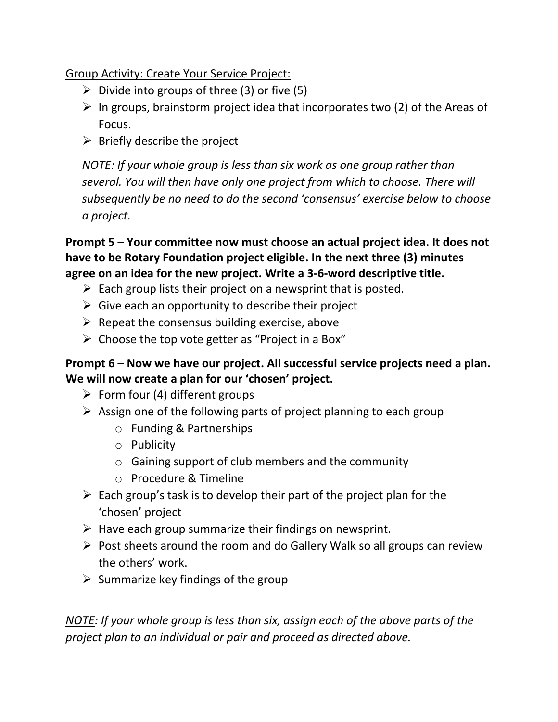Group Activity: Create Your Service Project:

- $\triangleright$  Divide into groups of three (3) or five (5)
- $\triangleright$  In groups, brainstorm project idea that incorporates two (2) of the Areas of Focus.
- $\triangleright$  Briefly describe the project

*NOTE: If your whole group is less than six work as one group rather than several. You will then have only one project from which to choose. There will subsequently be no need to do the second 'consensus' exercise below to choose a project.*

**Prompt 5 – Your committee now must choose an actual project idea. It does not have to be Rotary Foundation project eligible. In the next three (3) minutes agree on an idea for the new project. Write a 3-6-word descriptive title.**

- $\triangleright$  Each group lists their project on a newsprint that is posted.
- $\triangleright$  Give each an opportunity to describe their project
- $\triangleright$  Repeat the consensus building exercise, above
- $\triangleright$  Choose the top vote getter as "Project in a Box"

# **Prompt 6 – Now we have our project. All successful service projects need a plan. We will now create a plan for our 'chosen' project.**

- $\triangleright$  Form four (4) different groups
- $\triangleright$  Assign one of the following parts of project planning to each group
	- o Funding & Partnerships
	- o Publicity
	- o Gaining support of club members and the community
	- o Procedure & Timeline
- $\triangleright$  Each group's task is to develop their part of the project plan for the 'chosen' project
- $\triangleright$  Have each group summarize their findings on newsprint.
- ➢ Post sheets around the room and do Gallery Walk so all groups can review the others' work.
- $\triangleright$  Summarize key findings of the group

*NOTE: If your whole group is less than six, assign each of the above parts of the project plan to an individual or pair and proceed as directed above.*